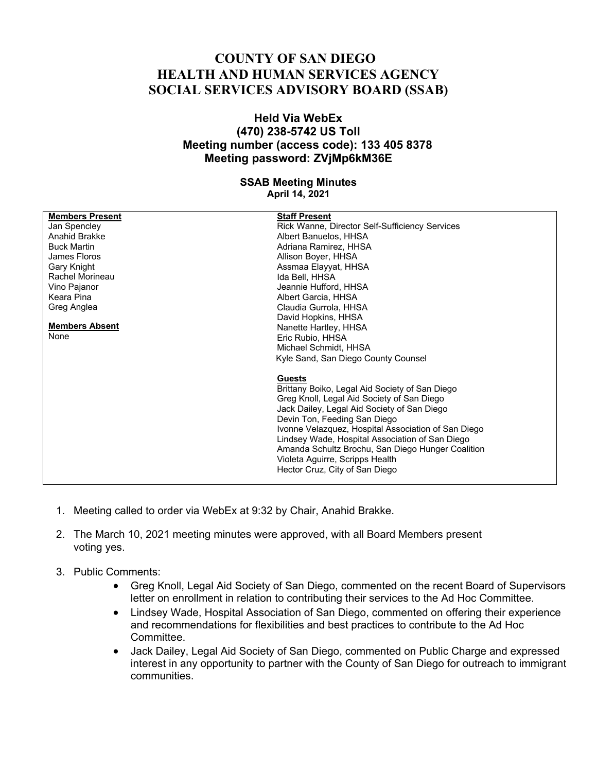## **COUNTY OF SAN DIEGO HEALTH AND HUMAN SERVICES AGENCY SOCIAL SERVICES ADVISORY BOARD (SSAB)**

## **Held Via WebEx (470) 238-5742 US Toll Meeting number (access code): 133 405 8378 Meeting password: ZVjMp6kM36E**

## **SSAB Meeting Minutes April 14, 2021**

| <b>Members Present</b> | <b>Staff Present</b>                                |
|------------------------|-----------------------------------------------------|
| Jan Spencley           | Rick Wanne, Director Self-Sufficiency Services      |
| Anahid Brakke          | Albert Banuelos, HHSA                               |
| <b>Buck Martin</b>     |                                                     |
|                        | Adriana Ramirez, HHSA                               |
| James Floros           | Allison Boyer, HHSA                                 |
| Gary Knight            | Assmaa Elayyat, HHSA                                |
| Rachel Morineau        | Ida Bell, HHSA                                      |
| Vino Pajanor           | Jeannie Hufford, HHSA                               |
| Keara Pina             | Albert Garcia, HHSA                                 |
| Greg Anglea            | Claudia Gurrola, HHSA                               |
|                        | David Hopkins, HHSA                                 |
| <b>Members Absent</b>  | Nanette Hartley, HHSA                               |
| None                   | Eric Rubio, HHSA                                    |
|                        | Michael Schmidt, HHSA                               |
|                        |                                                     |
|                        | Kyle Sand, San Diego County Counsel                 |
|                        | <b>Guests</b>                                       |
|                        | Brittany Boiko, Legal Aid Society of San Diego      |
|                        | Greg Knoll, Legal Aid Society of San Diego          |
|                        | Jack Dailey, Legal Aid Society of San Diego         |
|                        |                                                     |
|                        | Devin Ton, Feeding San Diego                        |
|                        | Ivonne Velazquez, Hospital Association of San Diego |
|                        | Lindsey Wade, Hospital Association of San Diego     |
|                        | Amanda Schultz Brochu, San Diego Hunger Coalition   |
|                        | Violeta Aguirre, Scripps Health                     |
|                        | Hector Cruz, City of San Diego                      |
|                        |                                                     |

- 1. Meeting called to order via WebEx at 9:32 by Chair, Anahid Brakke.
- 2. The March 10, 2021 meeting minutes were approved, with all Board Members present voting yes.
- 3. Public Comments:
	- Greg Knoll, Legal Aid Society of San Diego, commented on the recent Board of Supervisors letter on enrollment in relation to contributing their services to the Ad Hoc Committee.
	- Lindsey Wade, Hospital Association of San Diego, commented on offering their experience and recommendations for flexibilities and best practices to contribute to the Ad Hoc **Committee**
	- Jack Dailey, Legal Aid Society of San Diego, commented on Public Charge and expressed interest in any opportunity to partner with the County of San Diego for outreach to immigrant communities.